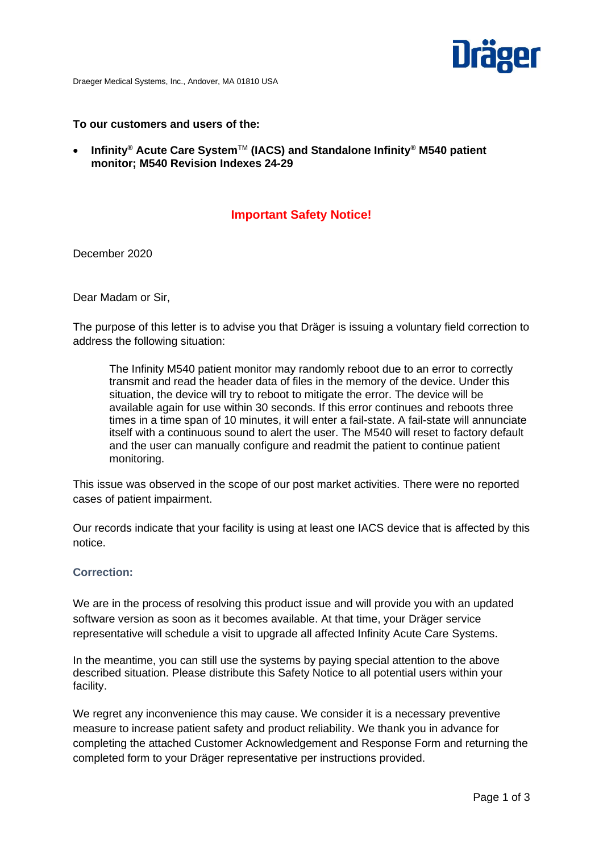

Draeger Medical Systems, Inc., Andover, MA 01810 USA

#### **To our customers and users of the:**

• **Infinity® Acute Care System**TM **(IACS) and Standalone Infinity® M540 patient monitor; M540 Revision Indexes 24-29**

# **Important Safety Notice!**

December 2020

Dear Madam or Sir,

The purpose of this letter is to advise you that Dräger is issuing a voluntary field correction to address the following situation:

The Infinity M540 patient monitor may randomly reboot due to an error to correctly transmit and read the header data of files in the memory of the device. Under this situation, the device will try to reboot to mitigate the error. The device will be available again for use within 30 seconds. If this error continues and reboots three times in a time span of 10 minutes, it will enter a fail-state. A fail-state will annunciate itself with a continuous sound to alert the user. The M540 will reset to factory default and the user can manually configure and readmit the patient to continue patient monitoring.

This issue was observed in the scope of our post market activities. There were no reported cases of patient impairment.

Our records indicate that your facility is using at least one IACS device that is affected by this notice.

#### **Correction:**

We are in the process of resolving this product issue and will provide you with an updated software version as soon as it becomes available. At that time, your Dräger service representative will schedule a visit to upgrade all affected Infinity Acute Care Systems.

In the meantime, you can still use the systems by paying special attention to the above described situation. Please distribute this Safety Notice to all potential users within your facility.

We regret any inconvenience this may cause. We consider it is a necessary preventive measure to increase patient safety and product reliability. We thank you in advance for completing the attached Customer Acknowledgement and Response Form and returning the completed form to your Dräger representative per instructions provided.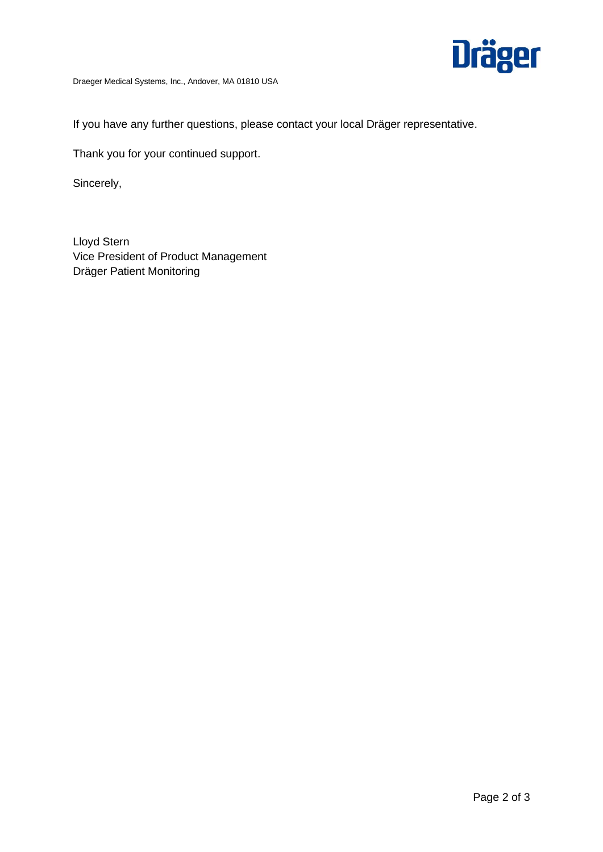

Draeger Medical Systems, Inc., Andover, MA 01810 USA

If you have any further questions, please contact your local Dräger representative.

Thank you for your continued support.

Sincerely,

Lloyd Stern Vice President of Product Management Dräger Patient Monitoring